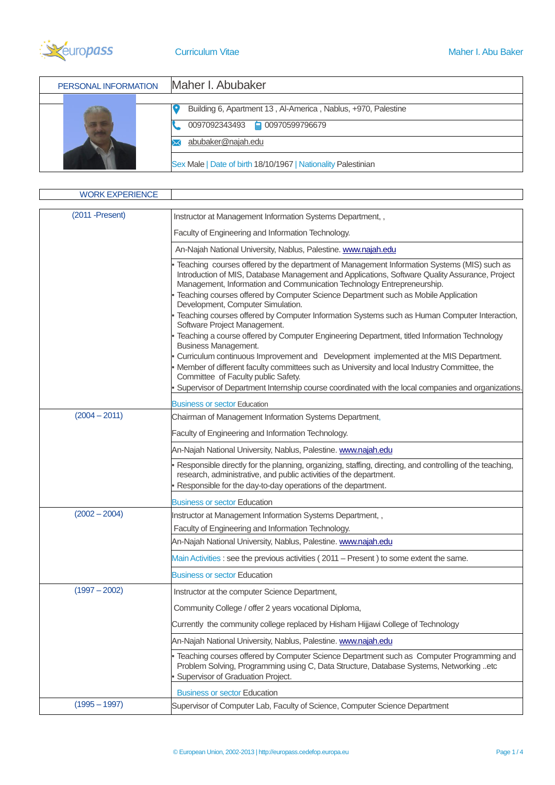

| PERSONAL INFORMATION | Maher I. Abubaker                                             |
|----------------------|---------------------------------------------------------------|
|                      |                                                               |
|                      | Building 6, Apartment 13, Al-America, Nablus, +970, Palestine |
|                      | 0097092343493 - 00970599796679                                |
|                      | abubaker@najah.edu                                            |
|                      | Sex Male   Date of birth 18/10/1967   Nationality Palestinian |

| <b>WORK EXPERIENCE</b>    |                                                                                                                                                                                                                                                                                                                                                                                                                                                                                                                                                                                                                                                                 |
|---------------------------|-----------------------------------------------------------------------------------------------------------------------------------------------------------------------------------------------------------------------------------------------------------------------------------------------------------------------------------------------------------------------------------------------------------------------------------------------------------------------------------------------------------------------------------------------------------------------------------------------------------------------------------------------------------------|
| $(2011 - \text{Present})$ | Instructor at Management Information Systems Department,,                                                                                                                                                                                                                                                                                                                                                                                                                                                                                                                                                                                                       |
|                           | Faculty of Engineering and Information Technology.                                                                                                                                                                                                                                                                                                                                                                                                                                                                                                                                                                                                              |
|                           | An-Najah National University, Nablus, Palestine. www.najah.edu                                                                                                                                                                                                                                                                                                                                                                                                                                                                                                                                                                                                  |
|                           |                                                                                                                                                                                                                                                                                                                                                                                                                                                                                                                                                                                                                                                                 |
|                           | Teaching courses offered by the department of Management Information Systems (MIS) such as<br>Introduction of MIS, Database Management and Applications, Software Quality Assurance, Project<br>Management, Information and Communication Technology Entrepreneurship.<br>Teaching courses offered by Computer Science Department such as Mobile Application<br>Development, Computer Simulation.<br>Teaching courses offered by Computer Information Systems such as Human Computer Interaction,<br>Software Project Management.<br>Teaching a course offered by Computer Engineering Department, titled Information Technology<br><b>Business Management.</b> |
|                           | Curriculum continuous Improvement and Development implemented at the MIS Department.<br>Member of different faculty committees such as University and local Industry Committee, the                                                                                                                                                                                                                                                                                                                                                                                                                                                                             |
|                           | Committee of Faculty public Safety.                                                                                                                                                                                                                                                                                                                                                                                                                                                                                                                                                                                                                             |
|                           | Supervisor of Department Internship course coordinated with the local companies and organizations.                                                                                                                                                                                                                                                                                                                                                                                                                                                                                                                                                              |
|                           | Business or sector Education                                                                                                                                                                                                                                                                                                                                                                                                                                                                                                                                                                                                                                    |
| $(2004 - 2011)$           | Chairman of Management Information Systems Department,                                                                                                                                                                                                                                                                                                                                                                                                                                                                                                                                                                                                          |
|                           | Faculty of Engineering and Information Technology.                                                                                                                                                                                                                                                                                                                                                                                                                                                                                                                                                                                                              |
|                           | An-Najah National University, Nablus, Palestine. www.najah.edu                                                                                                                                                                                                                                                                                                                                                                                                                                                                                                                                                                                                  |
|                           | Responsible directly for the planning, organizing, staffing, directing, and controlling of the teaching,<br>research, administrative, and public activities of the department.<br>Responsible for the day-to-day operations of the department.                                                                                                                                                                                                                                                                                                                                                                                                                  |
|                           | <b>Business or sector Education</b>                                                                                                                                                                                                                                                                                                                                                                                                                                                                                                                                                                                                                             |
| $(2002 - 2004)$           | Instructor at Management Information Systems Department,,                                                                                                                                                                                                                                                                                                                                                                                                                                                                                                                                                                                                       |
|                           | Faculty of Engineering and Information Technology.                                                                                                                                                                                                                                                                                                                                                                                                                                                                                                                                                                                                              |
|                           | An-Najah National University, Nablus, Palestine. www.najah.edu                                                                                                                                                                                                                                                                                                                                                                                                                                                                                                                                                                                                  |
|                           | Main Activities : see the previous activities (2011 – Present) to some extent the same.                                                                                                                                                                                                                                                                                                                                                                                                                                                                                                                                                                         |
|                           | <b>Business or sector Education</b>                                                                                                                                                                                                                                                                                                                                                                                                                                                                                                                                                                                                                             |
| $(1997 - 2002)$           | Instructor at the computer Science Department,                                                                                                                                                                                                                                                                                                                                                                                                                                                                                                                                                                                                                  |
|                           | Community College / offer 2 years vocational Diploma                                                                                                                                                                                                                                                                                                                                                                                                                                                                                                                                                                                                            |
|                           | Currently the community college replaced by Hisham Hijjawi College of Technology                                                                                                                                                                                                                                                                                                                                                                                                                                                                                                                                                                                |
|                           | An-Najah National University, Nablus, Palestine. www.najah.edu                                                                                                                                                                                                                                                                                                                                                                                                                                                                                                                                                                                                  |
|                           | Teaching courses offered by Computer Science Department such as Computer Programming and<br>Problem Solving, Programming using C, Data Structure, Database Systems, Networking etc<br>Supervisor of Graduation Project.                                                                                                                                                                                                                                                                                                                                                                                                                                         |
|                           | <b>Business or sector Education</b>                                                                                                                                                                                                                                                                                                                                                                                                                                                                                                                                                                                                                             |
| $(1995 - 1997)$           | Supervisor of Computer Lab, Faculty of Science, Computer Science Department                                                                                                                                                                                                                                                                                                                                                                                                                                                                                                                                                                                     |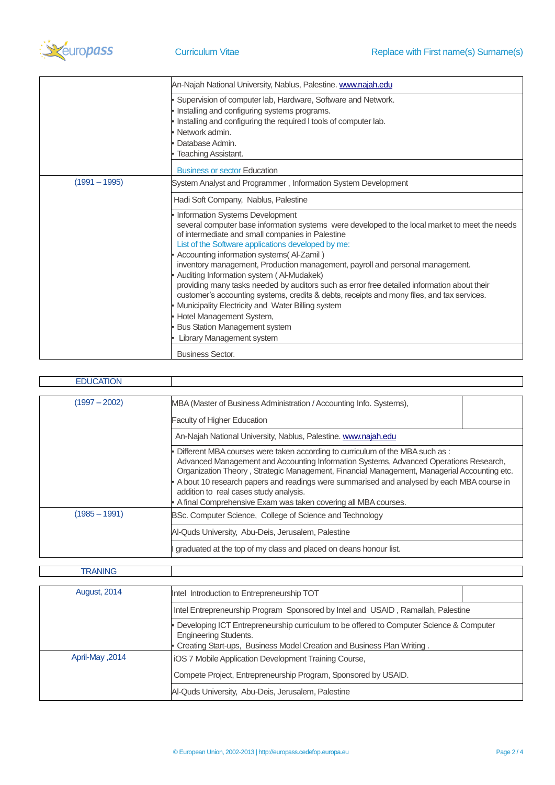

|                 | An-Najah National University, Nablus, Palestine. www.najah.edu                                                                                                                                                                                                                                                                                                                                                                                                                                                                                                                                                                                                                                                                                                          |
|-----------------|-------------------------------------------------------------------------------------------------------------------------------------------------------------------------------------------------------------------------------------------------------------------------------------------------------------------------------------------------------------------------------------------------------------------------------------------------------------------------------------------------------------------------------------------------------------------------------------------------------------------------------------------------------------------------------------------------------------------------------------------------------------------------|
|                 | Supervision of computer lab, Hardware, Software and Network.<br>Installing and configuring systems programs.<br>Installing and configuring the required I tools of computer lab.<br>Network admin.<br>Database Admin.                                                                                                                                                                                                                                                                                                                                                                                                                                                                                                                                                   |
|                 | Teaching Assistant.<br><b>Business or sector Education</b>                                                                                                                                                                                                                                                                                                                                                                                                                                                                                                                                                                                                                                                                                                              |
| $(1991 - 1995)$ | System Analyst and Programmer, Information System Development                                                                                                                                                                                                                                                                                                                                                                                                                                                                                                                                                                                                                                                                                                           |
|                 | Hadi Soft Company, Nablus, Palestine                                                                                                                                                                                                                                                                                                                                                                                                                                                                                                                                                                                                                                                                                                                                    |
|                 | Information Systems Development<br>several computer base information systems were developed to the local market to meet the needs<br>of intermediate and small companies in Palestine<br>List of the Software applications developed by me:<br>Accounting information systems(Al-Zamil)<br>inventory management, Production management, payroll and personal management.<br>Auditing Information system (Al-Mudakek)<br>providing many tasks needed by auditors such as error free detailed information about their<br>customer's accounting systems, credits & debts, receipts and mony files, and tax services.<br>Municipality Electricity and Water Billing system<br>Hotel Management System,<br><b>Bus Station Management system</b><br>Library Management system |
|                 | <b>Business Sector.</b>                                                                                                                                                                                                                                                                                                                                                                                                                                                                                                                                                                                                                                                                                                                                                 |

| $(1997 - 2002)$<br>MBA (Master of Business Administration / Accounting Info. Systems),                   |                                                                                                                                                                                                                                                                                                                                                                    |
|----------------------------------------------------------------------------------------------------------|--------------------------------------------------------------------------------------------------------------------------------------------------------------------------------------------------------------------------------------------------------------------------------------------------------------------------------------------------------------------|
| <b>Faculty of Higher Education</b>                                                                       |                                                                                                                                                                                                                                                                                                                                                                    |
| An-Najah National University, Nablus, Palestine. www.najah.edu                                           |                                                                                                                                                                                                                                                                                                                                                                    |
| addition to real cases study analysis.<br>A final Comprehensive Exam was taken covering all MBA courses. | Different MBA courses were taken according to curriculum of the MBA such as :<br>Advanced Management and Accounting Information Systems, Advanced Operations Research,<br>Organization Theory, Strategic Management, Financial Management, Managerial Accounting etc.<br>A bout 10 research papers and readings were summarised and analysed by each MBA course in |
| $(1985 - 1991)$<br>BSc. Computer Science, College of Science and Technology                              |                                                                                                                                                                                                                                                                                                                                                                    |
| Al-Quds University, Abu-Deis, Jerusalem, Palestine                                                       |                                                                                                                                                                                                                                                                                                                                                                    |
| graduated at the top of my class and placed on deans honour list.                                        |                                                                                                                                                                                                                                                                                                                                                                    |

## **TRANING**

| <b>August, 2014</b> | Intel Introduction to Entrepreneurship TOT                                                                       |
|---------------------|------------------------------------------------------------------------------------------------------------------|
|                     | Intel Entrepreneurship Program Sponsored by Intel and USAID, Ramallah, Palestine                                 |
|                     | Developing ICT Entrepreneurship curriculum to be offered to Computer Science & Computer<br>Engineering Students. |
|                     | Creating Start-ups, Business Model Creation and Business Plan Writing.                                           |
| April-May, 2014     | <b>iOS 7 Mobile Application Development Training Course,</b>                                                     |
|                     | Compete Project, Entrepreneurship Program, Sponsored by USAID.                                                   |
|                     | Al-Quds University, Abu-Deis, Jerusalem, Palestine                                                               |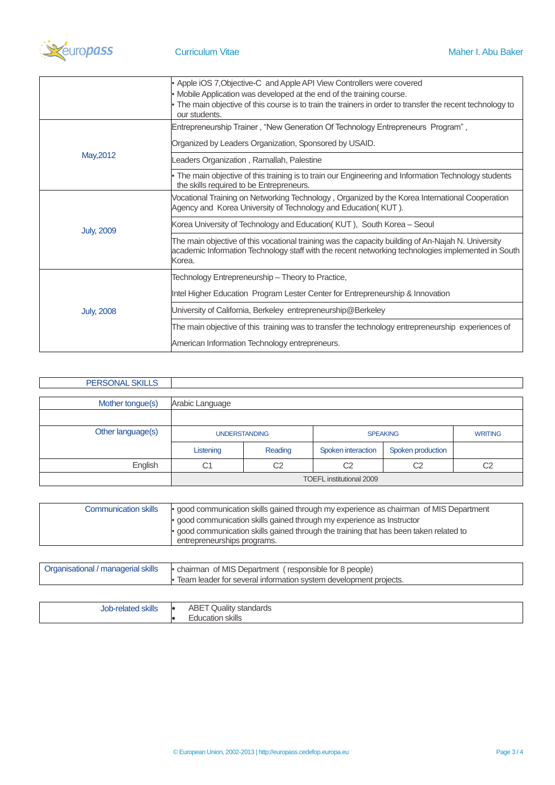

|                   | • Apple iOS 7, Objective-C and Apple API View Controllers were covered<br>Mobile Application was developed at the end of the training course.<br>- The main objective of this course is to train the trainers in order to transfer the recent technology to |  |  |
|-------------------|-------------------------------------------------------------------------------------------------------------------------------------------------------------------------------------------------------------------------------------------------------------|--|--|
|                   | our students.                                                                                                                                                                                                                                               |  |  |
|                   | Entrepreneurship Trainer, "New Generation Of Technology Entrepreneurs Program",                                                                                                                                                                             |  |  |
|                   | Organized by Leaders Organization, Sponsored by USAID.                                                                                                                                                                                                      |  |  |
| May, 2012         | eaders Organization, Ramallah, Palestine                                                                                                                                                                                                                    |  |  |
|                   | The main objective of this training is to train our Engineering and Information Technology students<br>the skills required to be Entrepreneurs.                                                                                                             |  |  |
|                   | Vocational Training on Networking Technology, Organized by the Korea International Cooperation<br>Agency and Korea University of Technology and Education(KUT).                                                                                             |  |  |
| <b>July, 2009</b> | Korea University of Technology and Education (KUT), South Korea - Seoul                                                                                                                                                                                     |  |  |
|                   | The main objective of this vocational training was the capacity building of An-Najah N. University<br>academic Information Technology staff with the recent networking technologies implemented in South<br>Korea.                                          |  |  |
|                   | Technology Entrepreneurship – Theory to Practice,                                                                                                                                                                                                           |  |  |
| <b>July, 2008</b> | Intel Higher Education Program Lester Center for Entrepreneurship & Innovation                                                                                                                                                                              |  |  |
|                   | University of California, Berkeley entrepreneurship@Berkeley                                                                                                                                                                                                |  |  |
|                   | The main objective of this training was to transfer the technology entrepreneurship experiences of                                                                                                                                                          |  |  |
|                   | American Information Technology entrepreneurs.                                                                                                                                                                                                              |  |  |

| PERSONAL SKILLS   |                                 |                |                    |                   |                |
|-------------------|---------------------------------|----------------|--------------------|-------------------|----------------|
|                   |                                 |                |                    |                   |                |
| Mother tongue(s)  | Arabic Language                 |                |                    |                   |                |
|                   |                                 |                |                    |                   |                |
| Other language(s) | <b>UNDERSTANDING</b>            |                | <b>SPEAKING</b>    |                   | <b>WRITING</b> |
|                   | Listening                       | Reading        | Spoken interaction | Spoken production |                |
| English           | C1                              | C <sub>2</sub> | C <sub>2</sub>     | C <sub>2</sub>    | C <sub>2</sub> |
|                   | <b>TOEFL</b> institutional 2009 |                |                    |                   |                |

| <b>Communication skills</b> | - good communication skills gained through my experience as chairman of MIS Department |  |
|-----------------------------|----------------------------------------------------------------------------------------|--|
|                             | · good communication skills gained through my experience as Instructor                 |  |
|                             | . good communication skills gained through the training that has been taken related to |  |
|                             | entrepreneurships programs.                                                            |  |

| Organisational / managerial skills | • chairman of MIS Department (responsible for 8 people)            |
|------------------------------------|--------------------------------------------------------------------|
|                                    | . Team leader for several information system development projects. |

| $\cdots$<br><b>Skills</b><br>∵relate⊷.<br>$\sim$<br>יטט | ю | $n = n$<br>' standards<br>Quality<br>IDE. |
|---------------------------------------------------------|---|-------------------------------------------|
|                                                         |   | skills<br>cation                          |